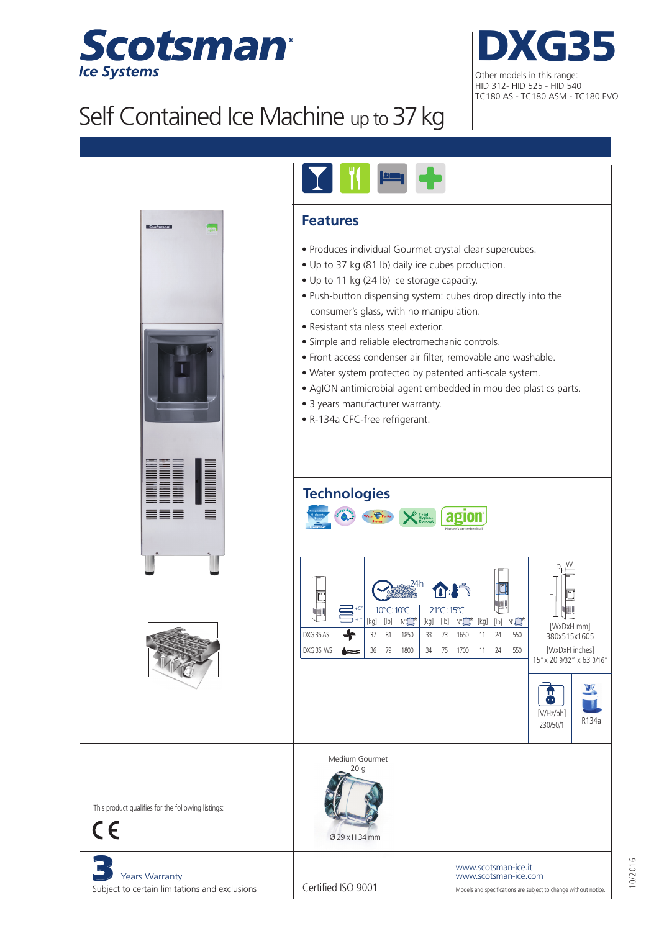



## Self Contained Ice Machine up to 37 kg





## **Features**

- Produces individual Gourmet crystal clear supercubes.
- Up to 37 kg (81 lb) daily ice cubes production.
- Up to 11 kg (24 lb) ice storage capacity.
- Push-button dispensing system: cubes drop directly into the consumer's glass, with no manipulation.
- Resistant stainless steel exterior.
- Simple and reliable electromechanic controls.
- Front access condenser air filter, removable and washable.
- Water system protected by patented anti-scale system.
- AgION antimicrobial agent embedded in moulded plastics parts.
- 3 years manufacturer warranty.
- R-134a CFC-free refrigerant.

## **Technologies**



| ख<br>DXG 35 AS<br>DXG 35 WS | 를.c° |            |      | ≀4h              |     | $\mathbf{A} \cdot \mathbf{F}^{\mathcal{F}}$ |                  |            |      |             | Н                         |  |  |
|-----------------------------|------|------------|------|------------------|-----|---------------------------------------------|------------------|------------|------|-------------|---------------------------|--|--|
|                             |      | 10°C: 10°C |      |                  |     | 21°C: 15°C                                  |                  | <b>AND</b> |      |             |                           |  |  |
|                             |      | [kg]       | [lb] | N°L <sup>*</sup> | (kg | [lb]                                        | N° <sup>2*</sup> | [kq]       | [lb] | $N^{\circ}$ | [WxDxH mm]                |  |  |
|                             |      | 37         | 81   | 1850             | 33  | 73                                          | 1650             | 11         | 24   | 550         | 380x515x1605              |  |  |
|                             |      | 36         | 79   | 1800             | 34  | 75                                          | 1700             | 11         | 24   | 550         | [WxDxH inches]            |  |  |
|                             |      |            |      |                  |     |                                             |                  |            |      |             | 15" x 20 9/32" x 63 3/16" |  |  |





Medium Gourmet 20 g





Years Warranty Subject to certain limitations and exclusions

Certified ISO 9001

Models and specifications are subject to change without notice. www.scotsman-ice.it www.scotsman-ice.com